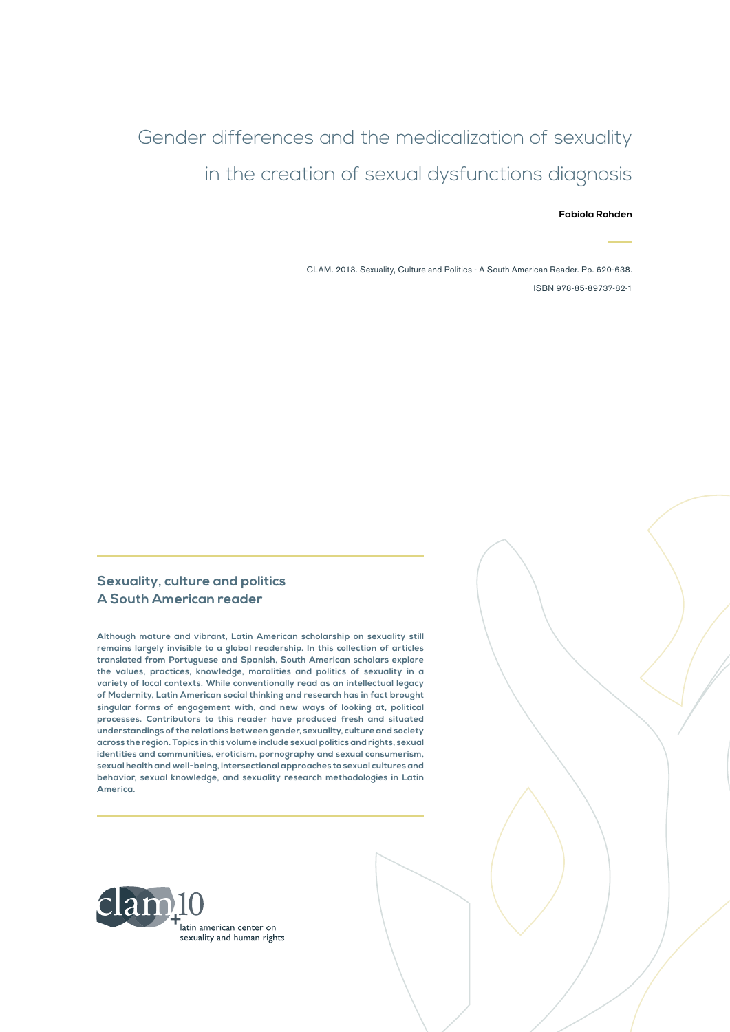## Gender differences and the medicalization of sexuality in the creation of sexual dysfunctions diagnosis

#### **Fabíola Rohden**

CLAM. 2013. Sexuality, Culture and Politics - A South American Reader. Pp. 620-638. ISBN 978-85-89737-82-1

#### **Sexuality, culture and politics A South American reader**

**Although mature and vibrant, Latin American scholarship on sexuality still remains largely invisible to a global readership. In this collection of articles translated from Portuguese and Spanish, South American scholars explore the values, practices, knowledge, moralities and politics of sexuality in a variety of local contexts. While conventionally read as an intellectual legacy of Modernity, Latin American social thinking and research has in fact brought singular forms of engagement with, and new ways of looking at, political processes. Contributors to this reader have produced fresh and situated understandings of the relations between gender, sexuality, culture and society across the region. Topics in this volume include sexual politics and rights, sexual identities and communities, eroticism, pornography and sexual consumerism, sexual health and well-being, intersectional approaches to sexual cultures and behavior, sexual knowledge, and sexuality research methodologies in Latin America.**

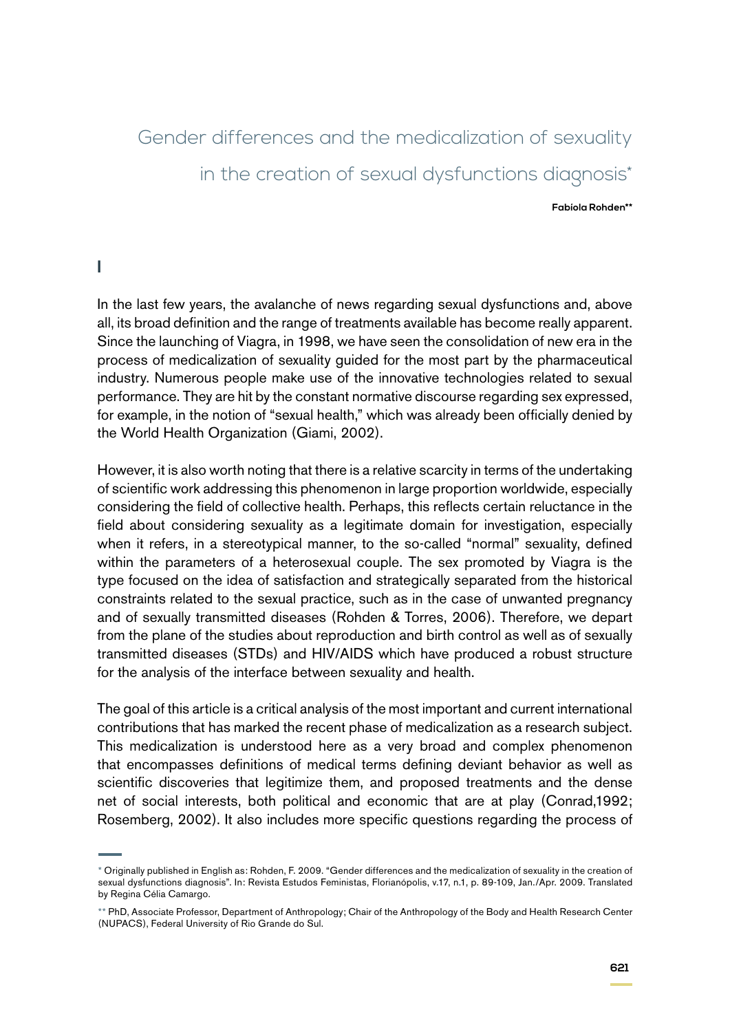# Gender differences and the medicalization of sexuality in the creation of sexual dysfunctions diagnosis\*

**Fabíola Rohden\*\***

#### **I**

In the last few years, the avalanche of news regarding sexual dysfunctions and, above all, its broad definition and the range of treatments available has become really apparent. Since the launching of Viagra, in 1998, we have seen the consolidation of new era in the process of medicalization of sexuality guided for the most part by the pharmaceutical industry. Numerous people make use of the innovative technologies related to sexual performance. They are hit by the constant normative discourse regarding sex expressed, for example, in the notion of "sexual health," which was already been officially denied by the World Health Organization (Giami, 2002).

However, it is also worth noting that there is a relative scarcity in terms of the undertaking of scientific work addressing this phenomenon in large proportion worldwide, especially considering the field of collective health. Perhaps, this reflects certain reluctance in the field about considering sexuality as a legitimate domain for investigation, especially when it refers, in a stereotypical manner, to the so-called "normal" sexuality, defined within the parameters of a heterosexual couple. The sex promoted by Viagra is the type focused on the idea of satisfaction and strategically separated from the historical constraints related to the sexual practice, such as in the case of unwanted pregnancy and of sexually transmitted diseases (Rohden & Torres, 2006). Therefore, we depart from the plane of the studies about reproduction and birth control as well as of sexually transmitted diseases (STDs) and HIV/AIDS which have produced a robust structure for the analysis of the interface between sexuality and health.

The goal of this article is a critical analysis of the most important and current international contributions that has marked the recent phase of medicalization as a research subject. This medicalization is understood here as a very broad and complex phenomenon that encompasses definitions of medical terms defining deviant behavior as well as scientific discoveries that legitimize them, and proposed treatments and the dense net of social interests, both political and economic that are at play (Conrad,1992; Rosemberg, 2002). It also includes more specific questions regarding the process of

<sup>\*</sup> Originally published in English as: Rohden, F. 2009. "Gender differences and the medicalization of sexuality in the creation of sexual dysfunctions diagnosis". In: Revista Estudos Feministas, Florianópolis, v.17, n.1, p. 89-109, Jan./Apr. 2009. Translated by Regina Célia Camargo.

<sup>\*\*</sup> PhD, Associate Professor, Department of Anthropology; Chair of the Anthropology of the Body and Health Research Center (NUPACS), Federal University of Rio Grande do Sul.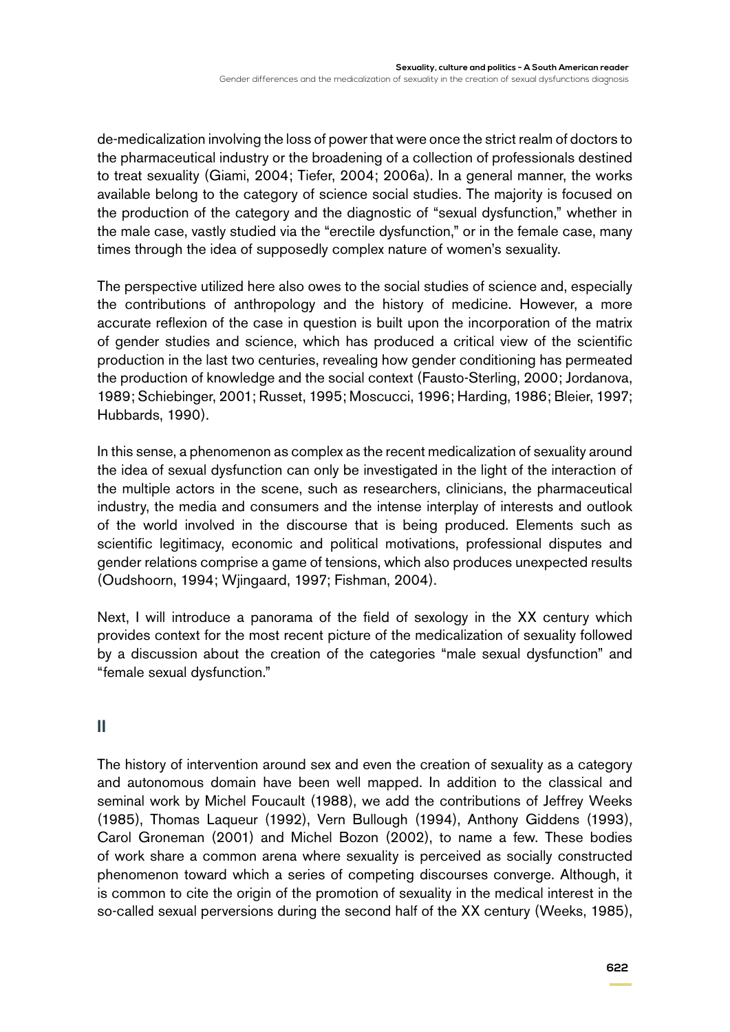de-medicalization involving the loss of power that were once the strict realm of doctors to the pharmaceutical industry or the broadening of a collection of professionals destined to treat sexuality (Giami, 2004; Tiefer, 2004; 2006a). In a general manner, the works available belong to the category of science social studies. The majority is focused on the production of the category and the diagnostic of "sexual dysfunction," whether in the male case, vastly studied via the "erectile dysfunction," or in the female case, many times through the idea of supposedly complex nature of women's sexuality.

The perspective utilized here also owes to the social studies of science and, especially the contributions of anthropology and the history of medicine. However, a more accurate reflexion of the case in question is built upon the incorporation of the matrix of gender studies and science, which has produced a critical view of the scientific production in the last two centuries, revealing how gender conditioning has permeated the production of knowledge and the social context (Fausto-Sterling, 2000; Jordanova, 1989; Schiebinger, 2001; Russet, 1995; Moscucci, 1996; Harding, 1986; Bleier, 1997; Hubbards, 1990).

In this sense, a phenomenon as complex as the recent medicalization of sexuality around the idea of sexual dysfunction can only be investigated in the light of the interaction of the multiple actors in the scene, such as researchers, clinicians, the pharmaceutical industry, the media and consumers and the intense interplay of interests and outlook of the world involved in the discourse that is being produced. Elements such as scientific legitimacy, economic and political motivations, professional disputes and gender relations comprise a game of tensions, which also produces unexpected results (Oudshoorn, 1994; Wjingaard, 1997; Fishman, 2004).

Next, I will introduce a panorama of the field of sexology in the XX century which provides context for the most recent picture of the medicalization of sexuality followed by a discussion about the creation of the categories "male sexual dysfunction" and "female sexual dysfunction."

### **II**

The history of intervention around sex and even the creation of sexuality as a category and autonomous domain have been well mapped. In addition to the classical and seminal work by Michel Foucault (1988), we add the contributions of Jeffrey Weeks (1985), Thomas Laqueur (1992), Vern Bullough (1994), Anthony Giddens (1993), Carol Groneman (2001) and Michel Bozon (2002), to name a few. These bodies of work share a common arena where sexuality is perceived as socially constructed phenomenon toward which a series of competing discourses converge. Although, it is common to cite the origin of the promotion of sexuality in the medical interest in the so-called sexual perversions during the second half of the XX century (Weeks, 1985),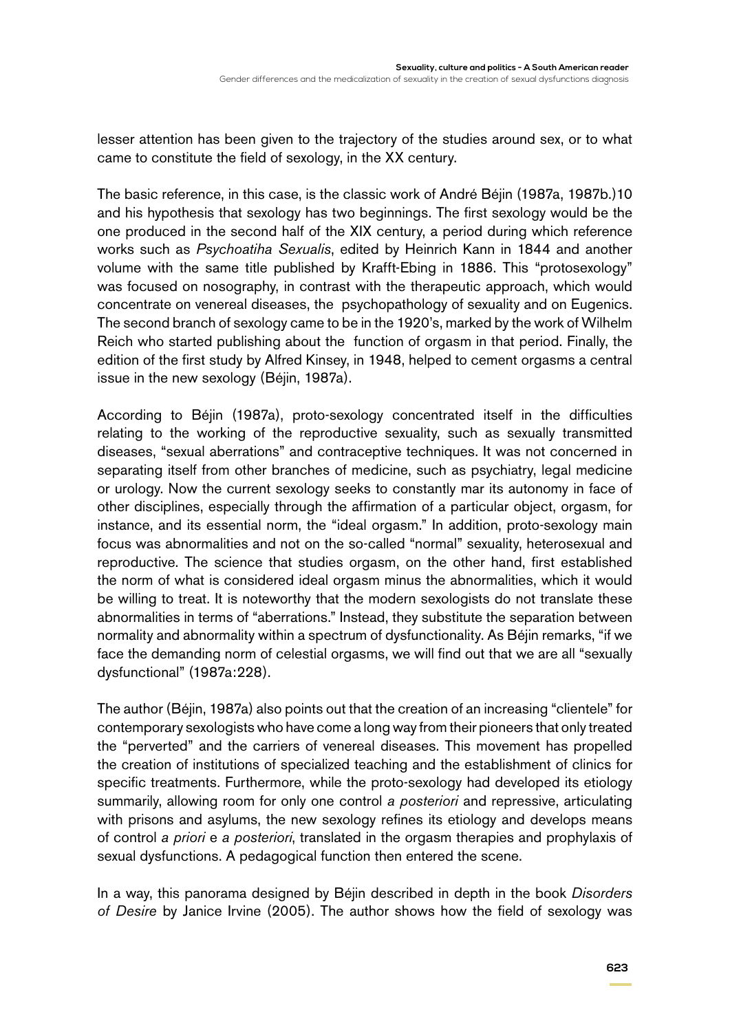lesser attention has been given to the trajectory of the studies around sex, or to what came to constitute the field of sexology, in the XX century.

The basic reference, in this case, is the classic work of André Béjin (1987a, 1987b.)10 and his hypothesis that sexology has two beginnings. The first sexology would be the one produced in the second half of the XIX century, a period during which reference works such as *Psychoatiha Sexualis*, edited by Heinrich Kann in 1844 and another volume with the same title published by Krafft-Ebing in 1886. This "protosexology" was focused on nosography, in contrast with the therapeutic approach, which would concentrate on venereal diseases, the psychopathology of sexuality and on Eugenics. The second branch of sexology came to be in the 1920's, marked by the work of Wilhelm Reich who started publishing about the function of orgasm in that period. Finally, the edition of the first study by Alfred Kinsey, in 1948, helped to cement orgasms a central issue in the new sexology (Béjin, 1987a).

According to Béjin (1987a), proto-sexology concentrated itself in the difficulties relating to the working of the reproductive sexuality, such as sexually transmitted diseases, "sexual aberrations" and contraceptive techniques. It was not concerned in separating itself from other branches of medicine, such as psychiatry, legal medicine or urology. Now the current sexology seeks to constantly mar its autonomy in face of other disciplines, especially through the affirmation of a particular object, orgasm, for instance, and its essential norm, the "ideal orgasm." In addition, proto-sexology main focus was abnormalities and not on the so-called "normal" sexuality, heterosexual and reproductive. The science that studies orgasm, on the other hand, first established the norm of what is considered ideal orgasm minus the abnormalities, which it would be willing to treat. It is noteworthy that the modern sexologists do not translate these abnormalities in terms of "aberrations." Instead, they substitute the separation between normality and abnormality within a spectrum of dysfunctionality. As Béjin remarks, "if we face the demanding norm of celestial orgasms, we will find out that we are all "sexually dysfunctional" (1987a:228).

The author (Béjin, 1987a) also points out that the creation of an increasing "clientele" for contemporary sexologists who have come a long way from their pioneers that only treated the "perverted" and the carriers of venereal diseases. This movement has propelled the creation of institutions of specialized teaching and the establishment of clinics for specific treatments. Furthermore, while the proto-sexology had developed its etiology summarily, allowing room for only one control *a posteriori* and repressive, articulating with prisons and asylums, the new sexology refines its etiology and develops means of control *a priori* e *a posteriori*, translated in the orgasm therapies and prophylaxis of sexual dysfunctions. A pedagogical function then entered the scene.

In a way, this panorama designed by Béjin described in depth in the book *Disorders of Desire* by Janice Irvine (2005). The author shows how the field of sexology was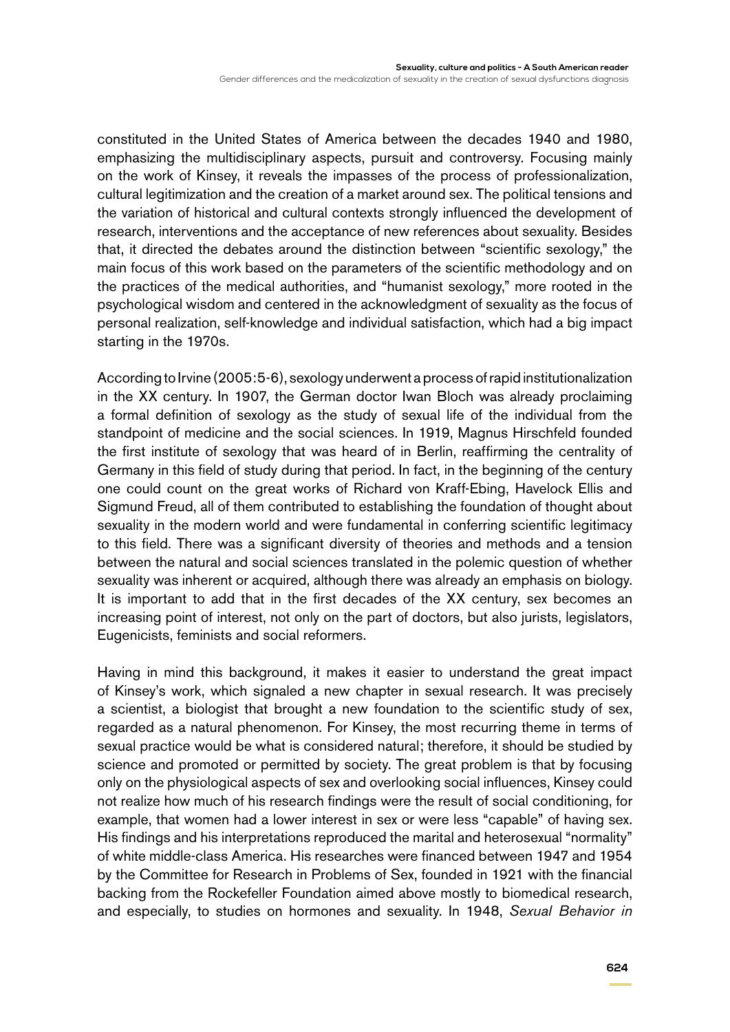constituted in the United States of America between the decades 1940 and 1980, emphasizing the multidisciplinary aspects, pursuit and controversy. Focusing mainly on the work of Kinsey, it reveals the impasses of the process of professionalization, cultural legitimization and the creation of a market around sex. The political tensions and the variation of historical and cultural contexts strongly influenced the development of research, interventions and the acceptance of new references about sexuality. Besides that, it directed the debates around the distinction between "scientific sexology," the main focus of this work based on the parameters of the scientific methodology and on the practices of the medical authorities, and "humanist sexology," more rooted in the psychological wisdom and centered in the acknowledgment of sexuality as the focus of personal realization, self-knowledge and individual satisfaction, which had a big impact starting in the 1970s.

According to Irvine (2005:5-6), sexology underwent a process of rapid institutionalization in the XX century. In 1907, the German doctor Iwan Bloch was already proclaiming a formal definition of sexology as the study of sexual life of the individual from the standpoint of medicine and the social sciences. In 1919, Magnus Hirschfeld founded the first institute of sexology that was heard of in Berlin, reaffirming the centrality of Germany in this field of study during that period. In fact, in the beginning of the century one could count on the great works of Richard von Kraff-Ebing, Havelock Ellis and Sigmund Freud, all of them contributed to establishing the foundation of thought about sexuality in the modern world and were fundamental in conferring scientific legitimacy to this field. There was a significant diversity of theories and methods and a tension between the natural and social sciences translated in the polemic question of whether sexuality was inherent or acquired, although there was already an emphasis on biology. It is important to add that in the first decades of the XX century, sex becomes an increasing point of interest, not only on the part of doctors, but also jurists, legislators, Eugenicists, feminists and social reformers.

Having in mind this background, it makes it easier to understand the great impact of Kinsey's work, which signaled a new chapter in sexual research. It was precisely a scientist, a biologist that brought a new foundation to the scientific study of sex, regarded as a natural phenomenon. For Kinsey, the most recurring theme in terms of sexual practice would be what is considered natural; therefore, it should be studied by science and promoted or permitted by society. The great problem is that by focusing only on the physiological aspects of sex and overlooking social influences, Kinsey could not realize how much of his research findings were the result of social conditioning, for example, that women had a lower interest in sex or were less "capable" of having sex. His findings and his interpretations reproduced the marital and heterosexual "normality" of white middle-class America. His researches were financed between 1947 and 1954 by the Committee for Research in Problems of Sex, founded in 1921 with the financial backing from the Rockefeller Foundation aimed above mostly to biomedical research, and especially, to studies on hormones and sexuality. In 1948, *Sexual Behavior in*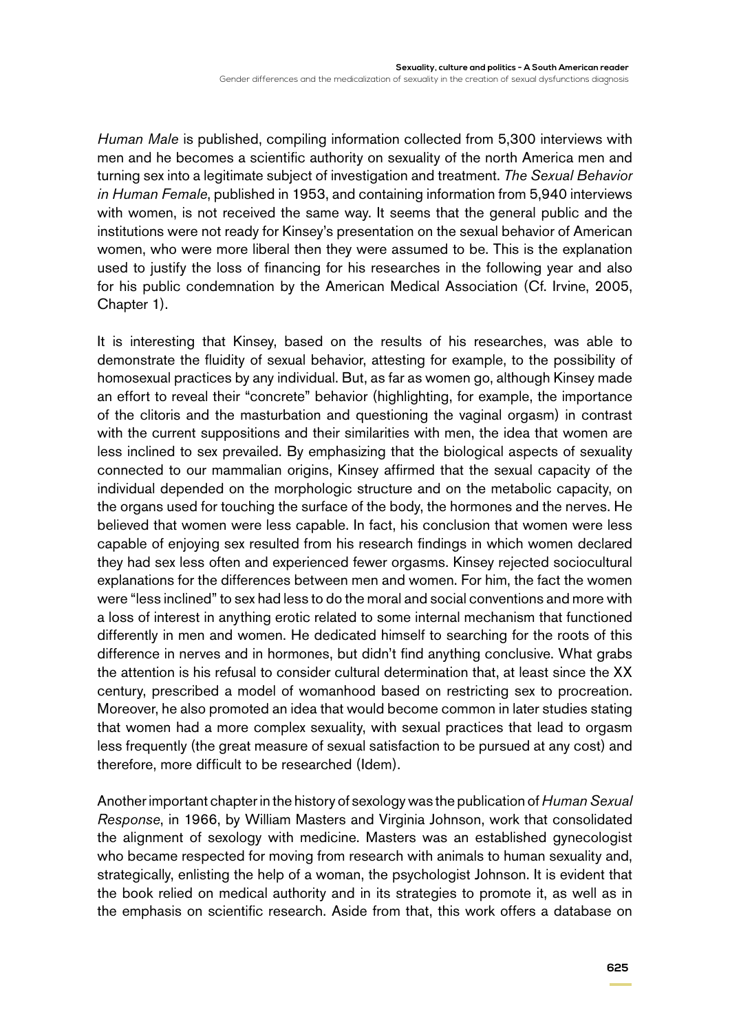*Human Male* is published, compiling information collected from 5,300 interviews with men and he becomes a scientific authority on sexuality of the north America men and turning sex into a legitimate subject of investigation and treatment. *The Sexual Behavior in Human Female*, published in 1953, and containing information from 5,940 interviews with women, is not received the same way. It seems that the general public and the institutions were not ready for Kinsey's presentation on the sexual behavior of American women, who were more liberal then they were assumed to be. This is the explanation used to justify the loss of financing for his researches in the following year and also for his public condemnation by the American Medical Association (Cf. Irvine, 2005, Chapter 1).

It is interesting that Kinsey, based on the results of his researches, was able to demonstrate the fluidity of sexual behavior, attesting for example, to the possibility of homosexual practices by any individual. But, as far as women go, although Kinsey made an effort to reveal their "concrete" behavior (highlighting, for example, the importance of the clitoris and the masturbation and questioning the vaginal orgasm) in contrast with the current suppositions and their similarities with men, the idea that women are less inclined to sex prevailed. By emphasizing that the biological aspects of sexuality connected to our mammalian origins, Kinsey affirmed that the sexual capacity of the individual depended on the morphologic structure and on the metabolic capacity, on the organs used for touching the surface of the body, the hormones and the nerves. He believed that women were less capable. In fact, his conclusion that women were less capable of enjoying sex resulted from his research findings in which women declared they had sex less often and experienced fewer orgasms. Kinsey rejected sociocultural explanations for the differences between men and women. For him, the fact the women were "less inclined" to sex had less to do the moral and social conventions and more with a loss of interest in anything erotic related to some internal mechanism that functioned differently in men and women. He dedicated himself to searching for the roots of this difference in nerves and in hormones, but didn't find anything conclusive. What grabs the attention is his refusal to consider cultural determination that, at least since the XX century, prescribed a model of womanhood based on restricting sex to procreation. Moreover, he also promoted an idea that would become common in later studies stating that women had a more complex sexuality, with sexual practices that lead to orgasm less frequently (the great measure of sexual satisfaction to be pursued at any cost) and therefore, more difficult to be researched (Idem).

Another important chapter in the history of sexology was the publication of *Human Sexual Response*, in 1966, by William Masters and Virginia Johnson, work that consolidated the alignment of sexology with medicine. Masters was an established gynecologist who became respected for moving from research with animals to human sexuality and, strategically, enlisting the help of a woman, the psychologist Johnson. It is evident that the book relied on medical authority and in its strategies to promote it, as well as in the emphasis on scientific research. Aside from that, this work offers a database on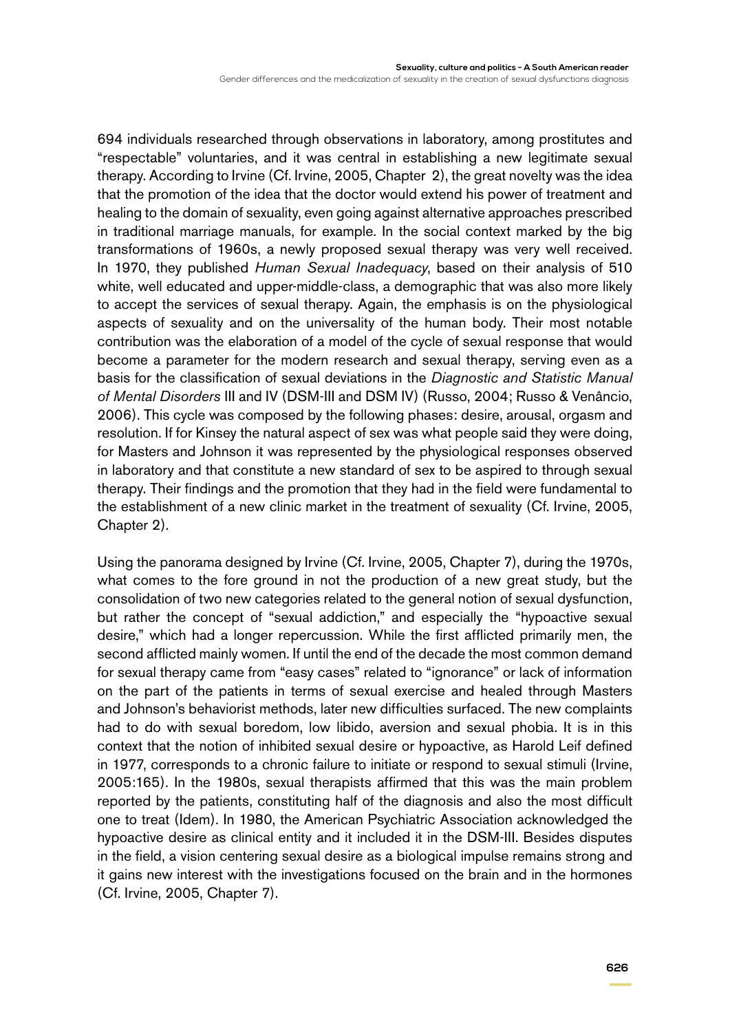694 individuals researched through observations in laboratory, among prostitutes and "respectable" voluntaries, and it was central in establishing a new legitimate sexual therapy. According to Irvine (Cf. Irvine, 2005, Chapter 2), the great novelty was the idea that the promotion of the idea that the doctor would extend his power of treatment and healing to the domain of sexuality, even going against alternative approaches prescribed in traditional marriage manuals, for example. In the social context marked by the big transformations of 1960s, a newly proposed sexual therapy was very well received. In 1970, they published *Human Sexual Inadequacy*, based on their analysis of 510 white, well educated and upper-middle-class, a demographic that was also more likely to accept the services of sexual therapy. Again, the emphasis is on the physiological aspects of sexuality and on the universality of the human body. Their most notable contribution was the elaboration of a model of the cycle of sexual response that would become a parameter for the modern research and sexual therapy, serving even as a basis for the classification of sexual deviations in the *Diagnostic and Statistic Manual of Mental Disorders* III and IV (DSM-III and DSM IV) (Russo, 2004; Russo & Venâncio, 2006). This cycle was composed by the following phases: desire, arousal, orgasm and resolution. If for Kinsey the natural aspect of sex was what people said they were doing, for Masters and Johnson it was represented by the physiological responses observed in laboratory and that constitute a new standard of sex to be aspired to through sexual therapy. Their findings and the promotion that they had in the field were fundamental to the establishment of a new clinic market in the treatment of sexuality (Cf. Irvine, 2005, Chapter 2).

Using the panorama designed by Irvine (Cf. Irvine, 2005, Chapter 7), during the 1970s, what comes to the fore ground in not the production of a new great study, but the consolidation of two new categories related to the general notion of sexual dysfunction, but rather the concept of "sexual addiction," and especially the "hypoactive sexual desire," which had a longer repercussion. While the first afflicted primarily men, the second afflicted mainly women. If until the end of the decade the most common demand for sexual therapy came from "easy cases" related to "ignorance" or lack of information on the part of the patients in terms of sexual exercise and healed through Masters and Johnson's behaviorist methods, later new difficulties surfaced. The new complaints had to do with sexual boredom, low libido, aversion and sexual phobia. It is in this context that the notion of inhibited sexual desire or hypoactive, as Harold Leif defined in 1977, corresponds to a chronic failure to initiate or respond to sexual stimuli (Irvine, 2005:165). In the 1980s, sexual therapists affirmed that this was the main problem reported by the patients, constituting half of the diagnosis and also the most difficult one to treat (Idem). In 1980, the American Psychiatric Association acknowledged the hypoactive desire as clinical entity and it included it in the DSM-III. Besides disputes in the field, a vision centering sexual desire as a biological impulse remains strong and it gains new interest with the investigations focused on the brain and in the hormones (Cf. Irvine, 2005, Chapter 7).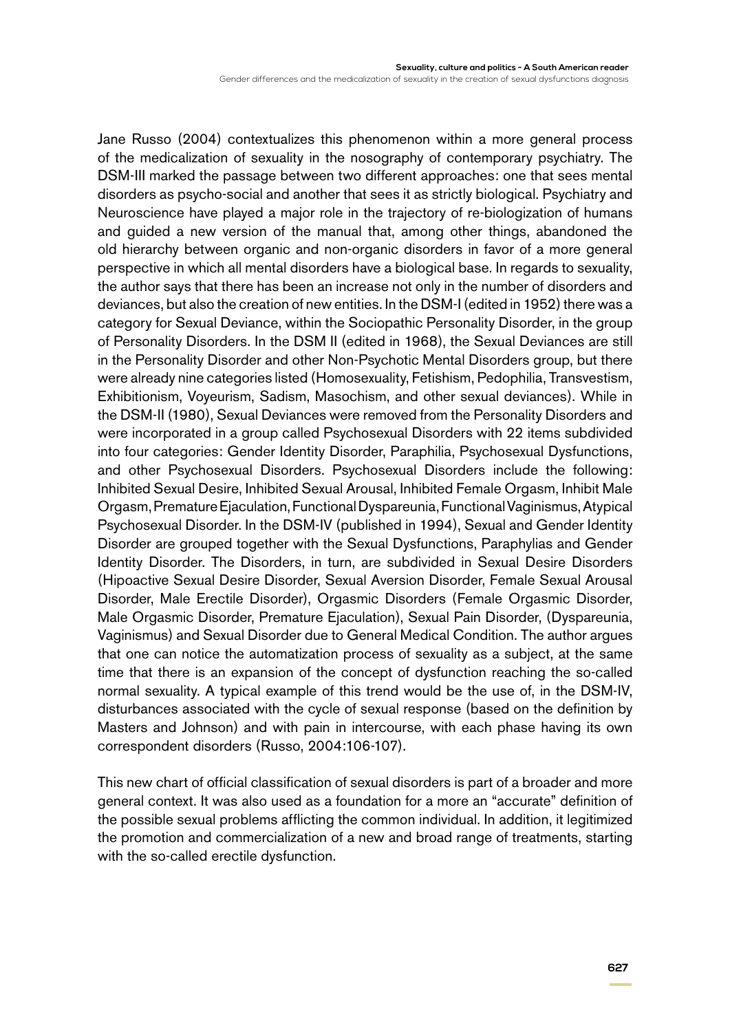Gender differences and the medicalization of sexuality in the creation of sexual dysfunctions diagnosis

Jane Russo (2004) contextualizes this phenomenon within a more general process of the medicalization of sexuality in the nosography of contemporary psychiatry. The DSM-III marked the passage between two different approaches: one that sees mental disorders as psycho-social and another that sees it as strictly biological. Psychiatry and Neuroscience have played a major role in the trajectory of re-biologization of humans and guided a new version of the manual that, among other things, abandoned the old hierarchy between organic and non-organic disorders in favor of a more general perspective in which all mental disorders have a biological base. In regards to sexuality, the author says that there has been an increase not only in the number of disorders and deviances, but also the creation of new entities. In the DSM-I (edited in 1952) there was a category for Sexual Deviance, within the Sociopathic Personality Disorder, in the group of Personality Disorders. In the DSM II (edited in 1968), the Sexual Deviances are still in the Personality Disorder and other Non-Psychotic Mental Disorders group, but there were already nine categories listed (Homosexuality, Fetishism, Pedophilia, Transvestism, Exhibitionism, Voyeurism, Sadism, Masochism, and other sexual deviances). While in the DSM-II (1980), Sexual Deviances were removed from the Personality Disorders and were incorporated in a group called Psychosexual Disorders with 22 items subdivided into four categories: Gender Identity Disorder, Paraphilia, Psychosexual Dysfunctions, and other Psychosexual Disorders. Psychosexual Disorders include the following: Inhibited Sexual Desire, Inhibited Sexual Arousal, Inhibited Female Orgasm, Inhibit Male Orgasm, Premature Ejaculation, Functional Dyspareunia, Functional Vaginismus, Atypical Psychosexual Disorder. In the DSM-IV (published in 1994), Sexual and Gender Identity Disorder are grouped together with the Sexual Dysfunctions, Paraphylias and Gender Identity Disorder. The Disorders, in turn, are subdivided in Sexual Desire Disorders (Hipoactive Sexual Desire Disorder, Sexual Aversion Disorder, Female Sexual Arousal Disorder, Male Erectile Disorder), Orgasmic Disorders (Female Orgasmic Disorder, Male Orgasmic Disorder, Premature Ejaculation), Sexual Pain Disorder, (Dyspareunia, Vaginismus) and Sexual Disorder due to General Medical Condition. The author argues that one can notice the automatization process of sexuality as a subject, at the same time that there is an expansion of the concept of dysfunction reaching the so-called normal sexuality. A typical example of this trend would be the use of, in the DSM-IV, disturbances associated with the cycle of sexual response (based on the definition by Masters and Johnson) and with pain in intercourse, with each phase having its own correspondent disorders (Russo, 2004:106-107).

This new chart of official classification of sexual disorders is part of a broader and more general context. It was also used as a foundation for a more an "accurate" definition of the possible sexual problems afflicting the common individual. In addition, it legitimized the promotion and commercialization of a new and broad range of treatments, starting with the so-called erectile dysfunction.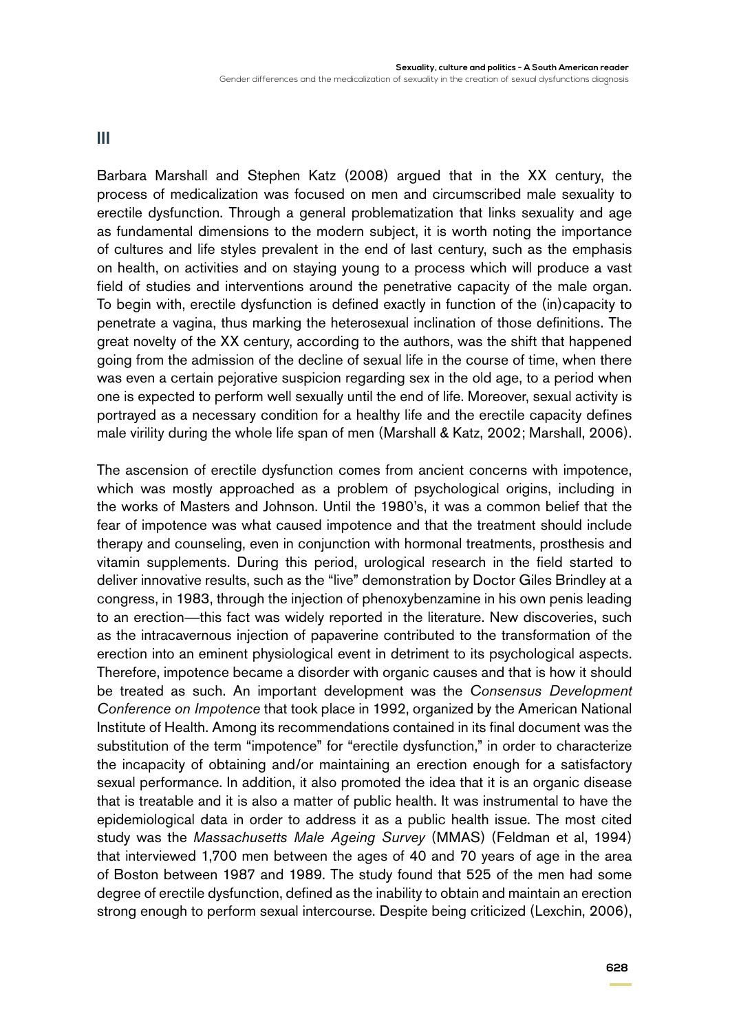#### **III**

Barbara Marshall and Stephen Katz (2008) argued that in the XX century, the process of medicalization was focused on men and circumscribed male sexuality to erectile dysfunction. Through a general problematization that links sexuality and age as fundamental dimensions to the modern subject, it is worth noting the importance of cultures and life styles prevalent in the end of last century, such as the emphasis on health, on activities and on staying young to a process which will produce a vast field of studies and interventions around the penetrative capacity of the male organ. To begin with, erectile dysfunction is defined exactly in function of the (in)capacity to penetrate a vagina, thus marking the heterosexual inclination of those definitions. The great novelty of the XX century, according to the authors, was the shift that happened going from the admission of the decline of sexual life in the course of time, when there was even a certain pejorative suspicion regarding sex in the old age, to a period when one is expected to perform well sexually until the end of life. Moreover, sexual activity is portrayed as a necessary condition for a healthy life and the erectile capacity defines male virility during the whole life span of men (Marshall & Katz, 2002; Marshall, 2006).

The ascension of erectile dysfunction comes from ancient concerns with impotence, which was mostly approached as a problem of psychological origins, including in the works of Masters and Johnson. Until the 1980's, it was a common belief that the fear of impotence was what caused impotence and that the treatment should include therapy and counseling, even in conjunction with hormonal treatments, prosthesis and vitamin supplements. During this period, urological research in the field started to deliver innovative results, such as the "live" demonstration by Doctor Giles Brindley at a congress, in 1983, through the injection of phenoxybenzamine in his own penis leading to an erection—this fact was widely reported in the literature. New discoveries, such as the intracavernous injection of papaverine contributed to the transformation of the erection into an eminent physiological event in detriment to its psychological aspects. Therefore, impotence became a disorder with organic causes and that is how it should be treated as such. An important development was the *Consensus Development Conference on Impotence* that took place in 1992, organized by the American National Institute of Health. Among its recommendations contained in its final document was the substitution of the term "impotence" for "erectile dysfunction," in order to characterize the incapacity of obtaining and/or maintaining an erection enough for a satisfactory sexual performance. In addition, it also promoted the idea that it is an organic disease that is treatable and it is also a matter of public health. It was instrumental to have the epidemiological data in order to address it as a public health issue. The most cited study was the *Massachusetts Male Ageing Survey* (MMAS) (Feldman et al, 1994) that interviewed 1,700 men between the ages of 40 and 70 years of age in the area of Boston between 1987 and 1989. The study found that 525 of the men had some degree of erectile dysfunction, defined as the inability to obtain and maintain an erection strong enough to perform sexual intercourse. Despite being criticized (Lexchin, 2006),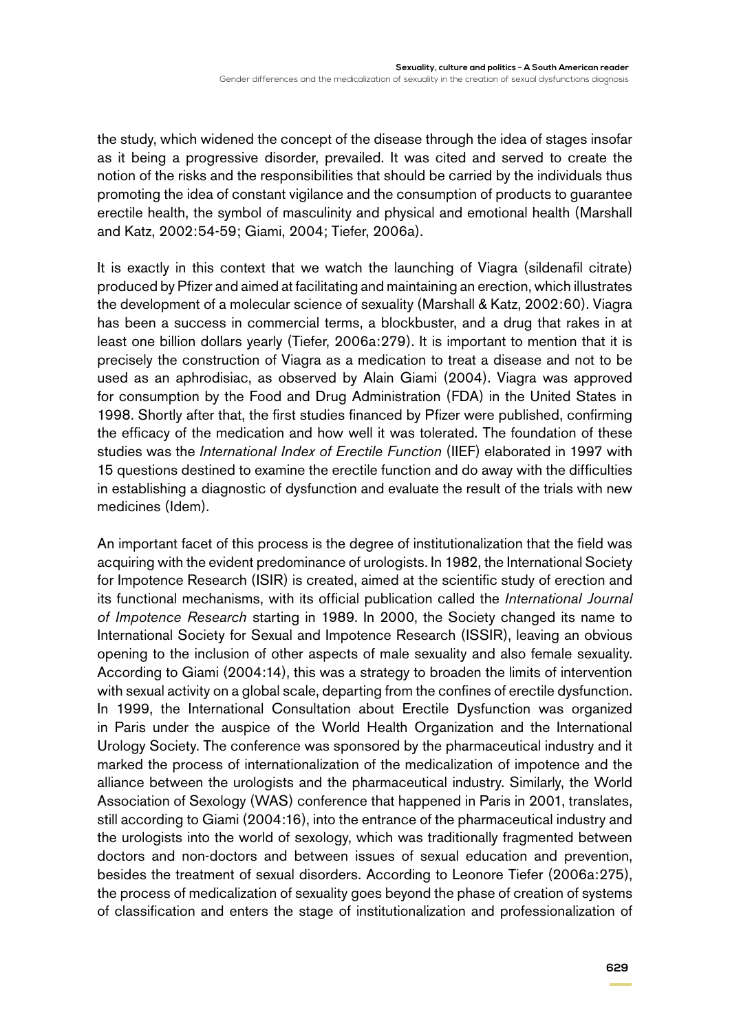the study, which widened the concept of the disease through the idea of stages insofar as it being a progressive disorder, prevailed. It was cited and served to create the notion of the risks and the responsibilities that should be carried by the individuals thus promoting the idea of constant vigilance and the consumption of products to guarantee erectile health, the symbol of masculinity and physical and emotional health (Marshall and Katz, 2002:54-59; Giami, 2004; Tiefer, 2006a).

It is exactly in this context that we watch the launching of Viagra (sildenafil citrate) produced by Pfizer and aimed at facilitating and maintaining an erection, which illustrates the development of a molecular science of sexuality (Marshall & Katz, 2002:60). Viagra has been a success in commercial terms, a blockbuster, and a drug that rakes in at least one billion dollars yearly (Tiefer, 2006a:279). It is important to mention that it is precisely the construction of Viagra as a medication to treat a disease and not to be used as an aphrodisiac, as observed by Alain Giami (2004). Viagra was approved for consumption by the Food and Drug Administration (FDA) in the United States in 1998. Shortly after that, the first studies financed by Pfizer were published, confirming the efficacy of the medication and how well it was tolerated. The foundation of these studies was the *International Index of Erectile Function* (IIEF) elaborated in 1997 with 15 questions destined to examine the erectile function and do away with the difficulties in establishing a diagnostic of dysfunction and evaluate the result of the trials with new medicines (Idem).

An important facet of this process is the degree of institutionalization that the field was acquiring with the evident predominance of urologists. In 1982, the International Society for Impotence Research (ISIR) is created, aimed at the scientific study of erection and its functional mechanisms, with its official publication called the *International Journal of Impotence Research* starting in 1989. In 2000, the Society changed its name to International Society for Sexual and Impotence Research (ISSIR), leaving an obvious opening to the inclusion of other aspects of male sexuality and also female sexuality. According to Giami (2004:14), this was a strategy to broaden the limits of intervention with sexual activity on a global scale, departing from the confines of erectile dysfunction. In 1999, the International Consultation about Erectile Dysfunction was organized in Paris under the auspice of the World Health Organization and the International Urology Society. The conference was sponsored by the pharmaceutical industry and it marked the process of internationalization of the medicalization of impotence and the alliance between the urologists and the pharmaceutical industry. Similarly, the World Association of Sexology (WAS) conference that happened in Paris in 2001, translates, still according to Giami (2004:16), into the entrance of the pharmaceutical industry and the urologists into the world of sexology, which was traditionally fragmented between doctors and non-doctors and between issues of sexual education and prevention, besides the treatment of sexual disorders. According to Leonore Tiefer (2006a:275), the process of medicalization of sexuality goes beyond the phase of creation of systems of classification and enters the stage of institutionalization and professionalization of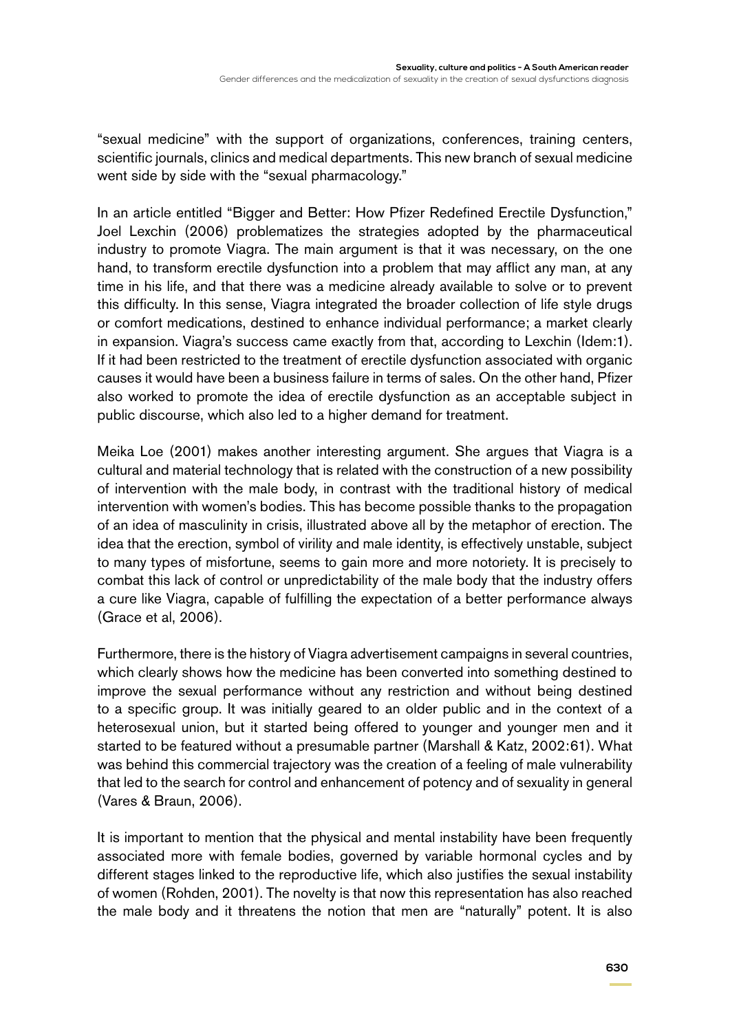"sexual medicine" with the support of organizations, conferences, training centers, scientific journals, clinics and medical departments. This new branch of sexual medicine went side by side with the "sexual pharmacology."

In an article entitled "Bigger and Better: How Pfizer Redefined Erectile Dysfunction," Joel Lexchin (2006) problematizes the strategies adopted by the pharmaceutical industry to promote Viagra. The main argument is that it was necessary, on the one hand, to transform erectile dysfunction into a problem that may afflict any man, at any time in his life, and that there was a medicine already available to solve or to prevent this difficulty. In this sense, Viagra integrated the broader collection of life style drugs or comfort medications, destined to enhance individual performance; a market clearly in expansion. Viagra's success came exactly from that, according to Lexchin (Idem:1). If it had been restricted to the treatment of erectile dysfunction associated with organic causes it would have been a business failure in terms of sales. On the other hand, Pfizer also worked to promote the idea of erectile dysfunction as an acceptable subject in public discourse, which also led to a higher demand for treatment.

Meika Loe (2001) makes another interesting argument. She argues that Viagra is a cultural and material technology that is related with the construction of a new possibility of intervention with the male body, in contrast with the traditional history of medical intervention with women's bodies. This has become possible thanks to the propagation of an idea of masculinity in crisis, illustrated above all by the metaphor of erection. The idea that the erection, symbol of virility and male identity, is effectively unstable, subject to many types of misfortune, seems to gain more and more notoriety. It is precisely to combat this lack of control or unpredictability of the male body that the industry offers a cure like Viagra, capable of fulfilling the expectation of a better performance always (Grace et al, 2006).

Furthermore, there is the history of Viagra advertisement campaigns in several countries, which clearly shows how the medicine has been converted into something destined to improve the sexual performance without any restriction and without being destined to a specific group. It was initially geared to an older public and in the context of a heterosexual union, but it started being offered to younger and younger men and it started to be featured without a presumable partner (Marshall & Katz, 2002:61). What was behind this commercial trajectory was the creation of a feeling of male vulnerability that led to the search for control and enhancement of potency and of sexuality in general (Vares & Braun, 2006).

It is important to mention that the physical and mental instability have been frequently associated more with female bodies, governed by variable hormonal cycles and by different stages linked to the reproductive life, which also justifies the sexual instability of women (Rohden, 2001). The novelty is that now this representation has also reached the male body and it threatens the notion that men are "naturally" potent. It is also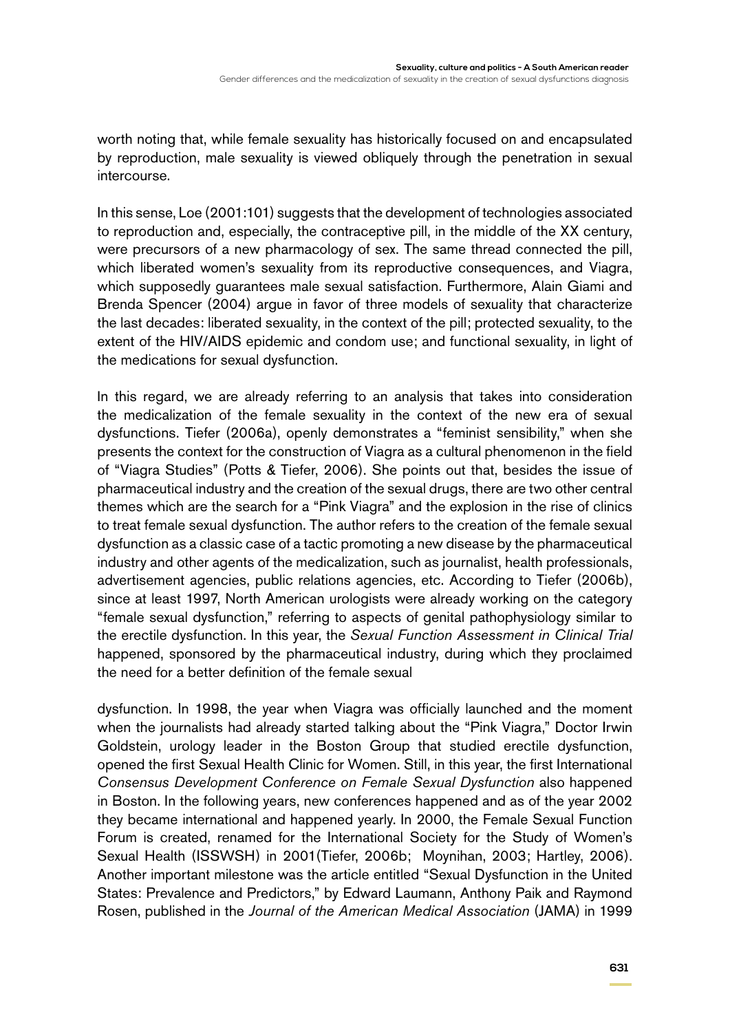worth noting that, while female sexuality has historically focused on and encapsulated by reproduction, male sexuality is viewed obliquely through the penetration in sexual intercourse.

In this sense, Loe (2001:101) suggests that the development of technologies associated to reproduction and, especially, the contraceptive pill, in the middle of the XX century, were precursors of a new pharmacology of sex. The same thread connected the pill, which liberated women's sexuality from its reproductive consequences, and Viagra, which supposedly guarantees male sexual satisfaction. Furthermore, Alain Giami and Brenda Spencer (2004) argue in favor of three models of sexuality that characterize the last decades: liberated sexuality, in the context of the pill; protected sexuality, to the extent of the HIV/AIDS epidemic and condom use; and functional sexuality, in light of the medications for sexual dysfunction.

In this regard, we are already referring to an analysis that takes into consideration the medicalization of the female sexuality in the context of the new era of sexual dysfunctions. Tiefer (2006a), openly demonstrates a "feminist sensibility," when she presents the context for the construction of Viagra as a cultural phenomenon in the field of "Viagra Studies" (Potts & Tiefer, 2006). She points out that, besides the issue of pharmaceutical industry and the creation of the sexual drugs, there are two other central themes which are the search for a "Pink Viagra" and the explosion in the rise of clinics to treat female sexual dysfunction. The author refers to the creation of the female sexual dysfunction as a classic case of a tactic promoting a new disease by the pharmaceutical industry and other agents of the medicalization, such as journalist, health professionals, advertisement agencies, public relations agencies, etc. According to Tiefer (2006b), since at least 1997, North American urologists were already working on the category "female sexual dysfunction," referring to aspects of genital pathophysiology similar to the erectile dysfunction. In this year, the *Sexual Function Assessment in Clinical Trial*  happened, sponsored by the pharmaceutical industry, during which they proclaimed the need for a better definition of the female sexual

dysfunction. In 1998, the year when Viagra was officially launched and the moment when the journalists had already started talking about the "Pink Viagra," Doctor Irwin Goldstein, urology leader in the Boston Group that studied erectile dysfunction, opened the first Sexual Health Clinic for Women. Still, in this year, the first International *Consensus Development Conference on Female Sexual Dysfunction* also happened in Boston. In the following years, new conferences happened and as of the year 2002 they became international and happened yearly. In 2000, the Female Sexual Function Forum is created, renamed for the International Society for the Study of Women's Sexual Health (ISSWSH) in 2001(Tiefer, 2006b; Moynihan, 2003; Hartley, 2006). Another important milestone was the article entitled "Sexual Dysfunction in the United States: Prevalence and Predictors," by Edward Laumann, Anthony Paik and Raymond Rosen, published in the *Journal of the American Medical Association* (JAMA) in 1999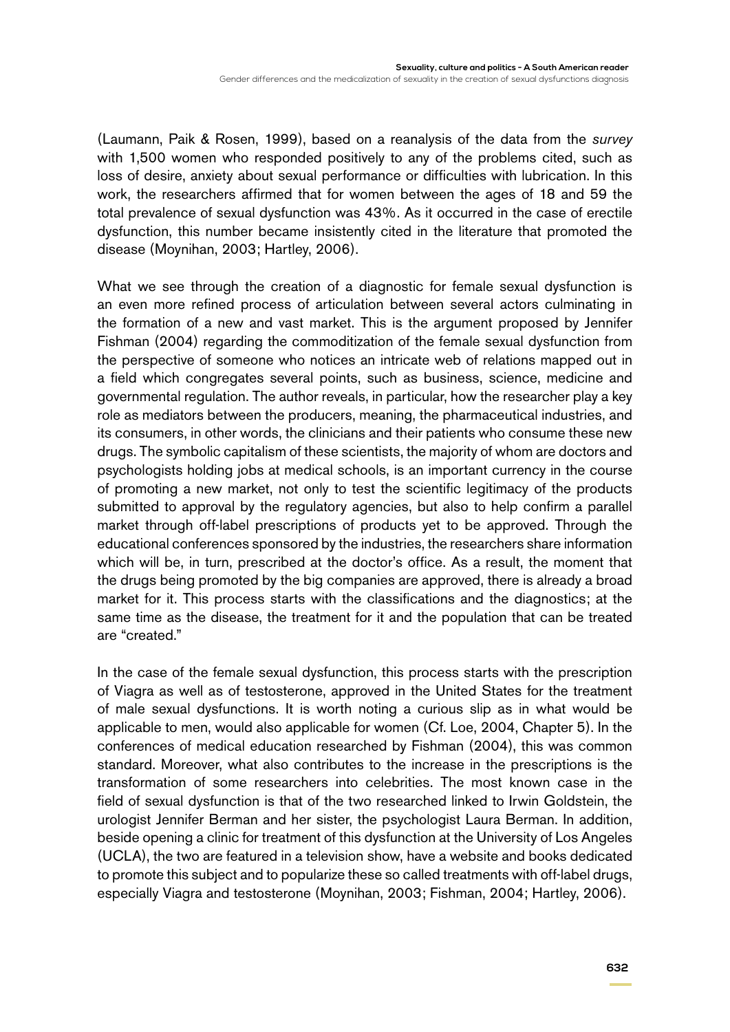(Laumann, Paik & Rosen, 1999), based on a reanalysis of the data from the *survey*  with 1,500 women who responded positively to any of the problems cited, such as loss of desire, anxiety about sexual performance or difficulties with lubrication. In this work, the researchers affirmed that for women between the ages of 18 and 59 the total prevalence of sexual dysfunction was 43%. As it occurred in the case of erectile dysfunction, this number became insistently cited in the literature that promoted the disease (Moynihan, 2003; Hartley, 2006).

What we see through the creation of a diagnostic for female sexual dysfunction is an even more refined process of articulation between several actors culminating in the formation of a new and vast market. This is the argument proposed by Jennifer Fishman (2004) regarding the commoditization of the female sexual dysfunction from the perspective of someone who notices an intricate web of relations mapped out in a field which congregates several points, such as business, science, medicine and governmental regulation. The author reveals, in particular, how the researcher play a key role as mediators between the producers, meaning, the pharmaceutical industries, and its consumers, in other words, the clinicians and their patients who consume these new drugs. The symbolic capitalism of these scientists, the majority of whom are doctors and psychologists holding jobs at medical schools, is an important currency in the course of promoting a new market, not only to test the scientific legitimacy of the products submitted to approval by the regulatory agencies, but also to help confirm a parallel market through off-label prescriptions of products yet to be approved. Through the educational conferences sponsored by the industries, the researchers share information which will be, in turn, prescribed at the doctor's office. As a result, the moment that the drugs being promoted by the big companies are approved, there is already a broad market for it. This process starts with the classifications and the diagnostics; at the same time as the disease, the treatment for it and the population that can be treated are "created."

In the case of the female sexual dysfunction, this process starts with the prescription of Viagra as well as of testosterone, approved in the United States for the treatment of male sexual dysfunctions. It is worth noting a curious slip as in what would be applicable to men, would also applicable for women (Cf. Loe, 2004, Chapter 5). In the conferences of medical education researched by Fishman (2004), this was common standard. Moreover, what also contributes to the increase in the prescriptions is the transformation of some researchers into celebrities. The most known case in the field of sexual dysfunction is that of the two researched linked to Irwin Goldstein, the urologist Jennifer Berman and her sister, the psychologist Laura Berman. In addition, beside opening a clinic for treatment of this dysfunction at the University of Los Angeles (UCLA), the two are featured in a television show, have a website and books dedicated to promote this subject and to popularize these so called treatments with off-label drugs, especially Viagra and testosterone (Moynihan, 2003; Fishman, 2004; Hartley, 2006).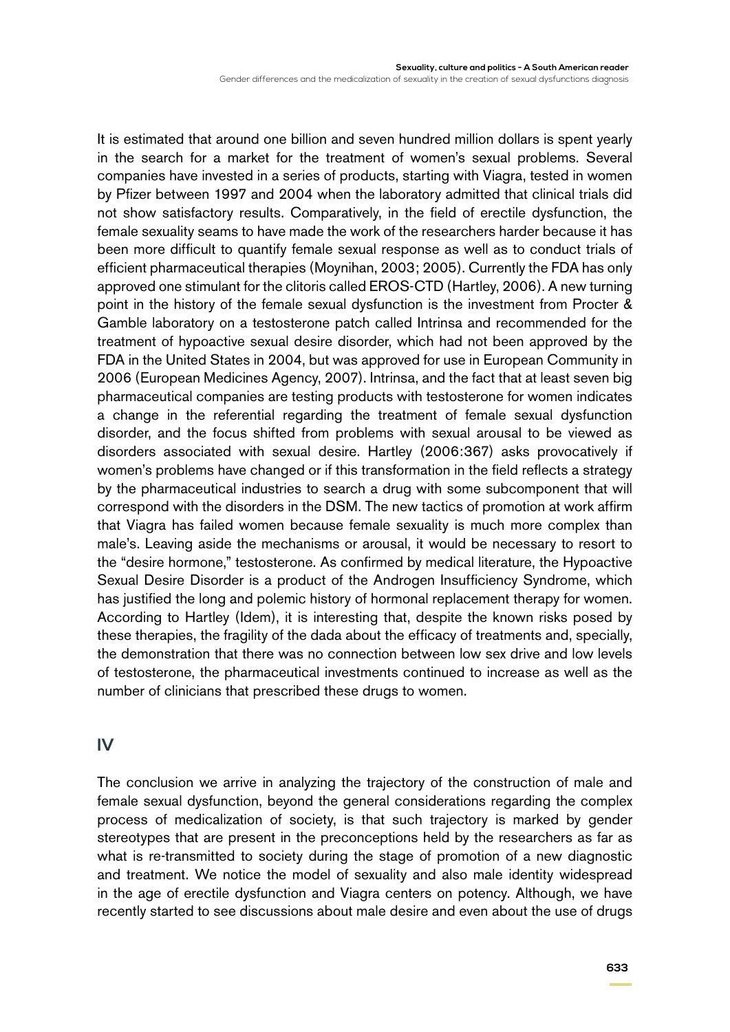Gender differences and the medicalization of sexuality in the creation of sexual dysfunctions diagnosis

It is estimated that around one billion and seven hundred million dollars is spent yearly in the search for a market for the treatment of women's sexual problems. Several companies have invested in a series of products, starting with Viagra, tested in women by Pfizer between 1997 and 2004 when the laboratory admitted that clinical trials did not show satisfactory results. Comparatively, in the field of erectile dysfunction, the female sexuality seams to have made the work of the researchers harder because it has been more difficult to quantify female sexual response as well as to conduct trials of efficient pharmaceutical therapies (Moynihan, 2003; 2005). Currently the FDA has only approved one stimulant for the clitoris called EROS-CTD (Hartley, 2006). A new turning point in the history of the female sexual dysfunction is the investment from Procter & Gamble laboratory on a testosterone patch called Intrinsa and recommended for the treatment of hypoactive sexual desire disorder, which had not been approved by the FDA in the United States in 2004, but was approved for use in European Community in 2006 (European Medicines Agency, 2007). Intrinsa, and the fact that at least seven big pharmaceutical companies are testing products with testosterone for women indicates a change in the referential regarding the treatment of female sexual dysfunction disorder, and the focus shifted from problems with sexual arousal to be viewed as disorders associated with sexual desire. Hartley (2006:367) asks provocatively if women's problems have changed or if this transformation in the field reflects a strategy by the pharmaceutical industries to search a drug with some subcomponent that will correspond with the disorders in the DSM. The new tactics of promotion at work affirm that Viagra has failed women because female sexuality is much more complex than male's. Leaving aside the mechanisms or arousal, it would be necessary to resort to the "desire hormone," testosterone. As confirmed by medical literature, the Hypoactive Sexual Desire Disorder is a product of the Androgen Insufficiency Syndrome, which has justified the long and polemic history of hormonal replacement therapy for women. According to Hartley (Idem), it is interesting that, despite the known risks posed by these therapies, the fragility of the dada about the efficacy of treatments and, specially, the demonstration that there was no connection between low sex drive and low levels of testosterone, the pharmaceutical investments continued to increase as well as the number of clinicians that prescribed these drugs to women.

#### **IV**

The conclusion we arrive in analyzing the trajectory of the construction of male and female sexual dysfunction, beyond the general considerations regarding the complex process of medicalization of society, is that such trajectory is marked by gender stereotypes that are present in the preconceptions held by the researchers as far as what is re-transmitted to society during the stage of promotion of a new diagnostic and treatment. We notice the model of sexuality and also male identity widespread in the age of erectile dysfunction and Viagra centers on potency. Although, we have recently started to see discussions about male desire and even about the use of drugs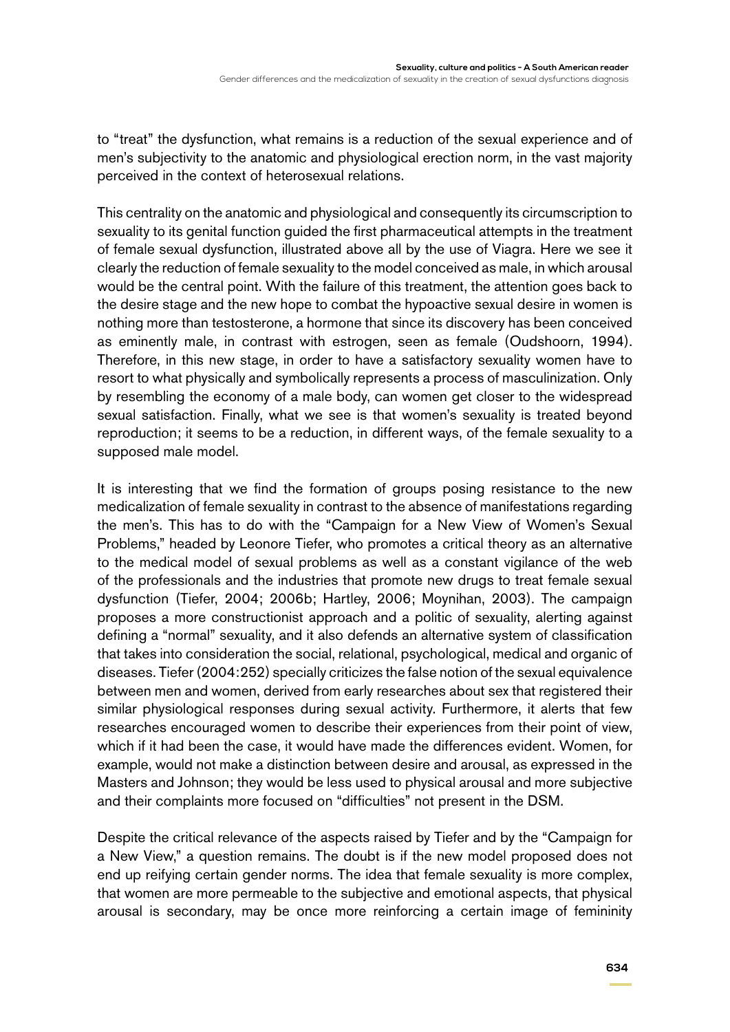to "treat" the dysfunction, what remains is a reduction of the sexual experience and of men's subjectivity to the anatomic and physiological erection norm, in the vast majority perceived in the context of heterosexual relations.

This centrality on the anatomic and physiological and consequently its circumscription to sexuality to its genital function guided the first pharmaceutical attempts in the treatment of female sexual dysfunction, illustrated above all by the use of Viagra. Here we see it clearly the reduction of female sexuality to the model conceived as male, in which arousal would be the central point. With the failure of this treatment, the attention goes back to the desire stage and the new hope to combat the hypoactive sexual desire in women is nothing more than testosterone, a hormone that since its discovery has been conceived as eminently male, in contrast with estrogen, seen as female (Oudshoorn, 1994). Therefore, in this new stage, in order to have a satisfactory sexuality women have to resort to what physically and symbolically represents a process of masculinization. Only by resembling the economy of a male body, can women get closer to the widespread sexual satisfaction. Finally, what we see is that women's sexuality is treated beyond reproduction; it seems to be a reduction, in different ways, of the female sexuality to a supposed male model.

It is interesting that we find the formation of groups posing resistance to the new medicalization of female sexuality in contrast to the absence of manifestations regarding the men's. This has to do with the "Campaign for a New View of Women's Sexual Problems," headed by Leonore Tiefer, who promotes a critical theory as an alternative to the medical model of sexual problems as well as a constant vigilance of the web of the professionals and the industries that promote new drugs to treat female sexual dysfunction (Tiefer, 2004; 2006b; Hartley, 2006; Moynihan, 2003). The campaign proposes a more constructionist approach and a politic of sexuality, alerting against defining a "normal" sexuality, and it also defends an alternative system of classification that takes into consideration the social, relational, psychological, medical and organic of diseases. Tiefer (2004:252) specially criticizes the false notion of the sexual equivalence between men and women, derived from early researches about sex that registered their similar physiological responses during sexual activity. Furthermore, it alerts that few researches encouraged women to describe their experiences from their point of view, which if it had been the case, it would have made the differences evident. Women, for example, would not make a distinction between desire and arousal, as expressed in the Masters and Johnson; they would be less used to physical arousal and more subjective and their complaints more focused on "difficulties" not present in the DSM.

Despite the critical relevance of the aspects raised by Tiefer and by the "Campaign for a New View," a question remains. The doubt is if the new model proposed does not end up reifying certain gender norms. The idea that female sexuality is more complex, that women are more permeable to the subjective and emotional aspects, that physical arousal is secondary, may be once more reinforcing a certain image of femininity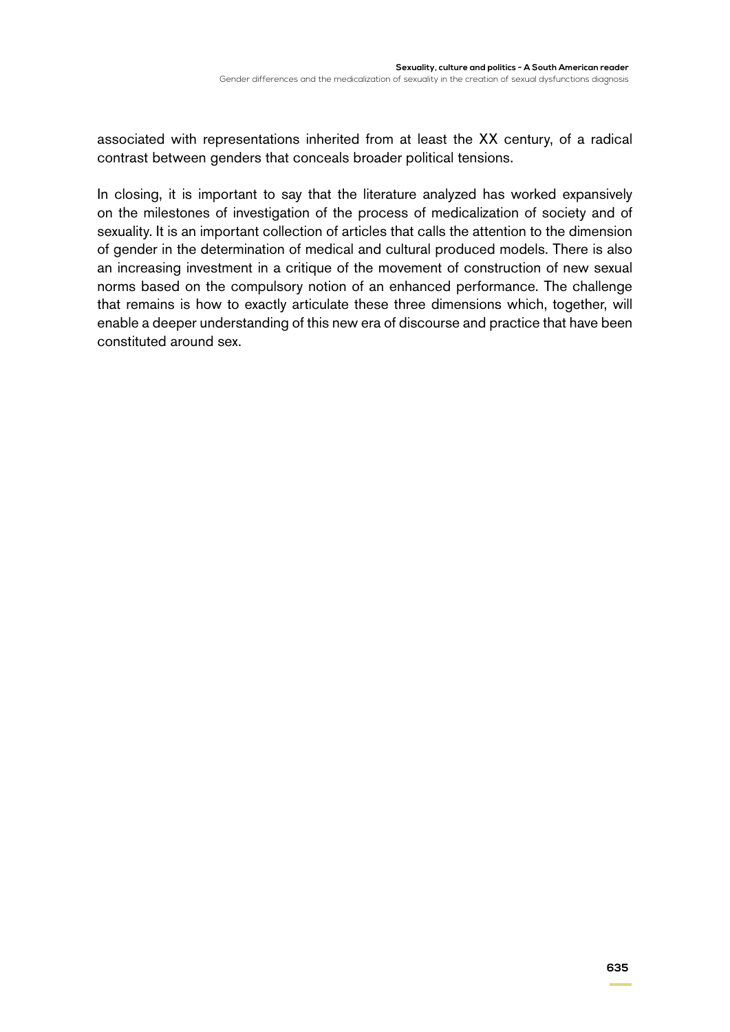associated with representations inherited from at least the XX century, of a radical contrast between genders that conceals broader political tensions.

In closing, it is important to say that the literature analyzed has worked expansively on the milestones of investigation of the process of medicalization of society and of sexuality. It is an important collection of articles that calls the attention to the dimension of gender in the determination of medical and cultural produced models. There is also an increasing investment in a critique of the movement of construction of new sexual norms based on the compulsory notion of an enhanced performance. The challenge that remains is how to exactly articulate these three dimensions which, together, will enable a deeper understanding of this new era of discourse and practice that have been constituted around sex.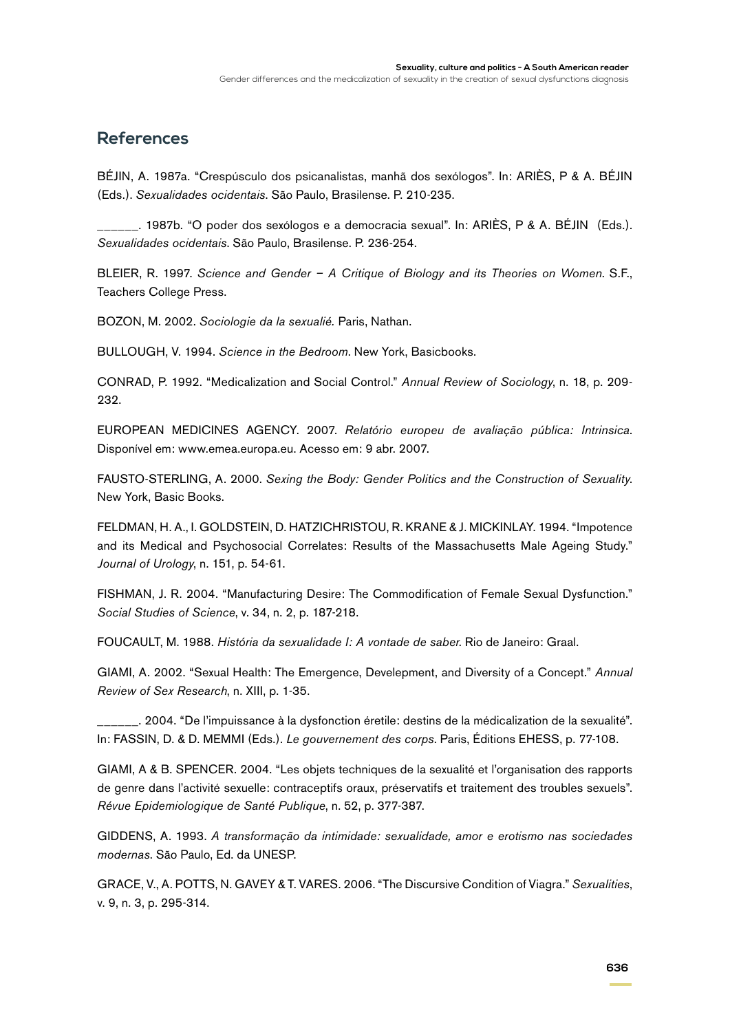#### **References**

BÉJIN, A. 1987a. "Crespúsculo dos psicanalistas, manhã dos sexólogos". In: ARIÈS, P & A. BÉJIN (Eds.). *Sexualidades ocidentais*. São Paulo, Brasilense. P. 210-235.

\_\_\_\_\_\_. 1987b. "O poder dos sexólogos e a democracia sexual". In: ARIÈS, P & A. BÉJIN (Eds.). *Sexualidades ocidentais*. São Paulo, Brasilense. P. 236-254.

BLEIER, R. 1997. *Science and Gender – A Critique of Biology and its Theories on Women*. S.F., Teachers College Press.

BOZON, M. 2002. *Sociologie da la sexualié.* Paris, Nathan.

BULLOUGH, V. 1994. *Science in the Bedroom*. New York, Basicbooks.

CONRAD, P. 1992. "Medicalization and Social Control." *Annual Review of Sociology*, n. 18, p. 209- 232.

EUROPEAN MEDICINES AGENCY. 2007. *Relatório europeu de avaliação pública: Intrinsica*. Disponível em: www.emea.europa.eu. Acesso em: 9 abr. 2007.

FAUSTO-STERLING, A. 2000. *Sexing the Body: Gender Politics and the Construction of Sexuality*. New York, Basic Books.

FELDMAN, H. A., I. GOLDSTEIN, D. HATZICHRISTOU, R. KRANE & J. MICKINLAY. 1994. "Impotence and its Medical and Psychosocial Correlates: Results of the Massachusetts Male Ageing Study." *Journal of Urology*, n. 151, p. 54-61.

FISHMAN, J. R. 2004. "Manufacturing Desire: The Commodification of Female Sexual Dysfunction." *Social Studies of Science*, v. 34, n. 2, p. 187-218.

FOUCAULT, M. 1988. *História da sexualidade I: A vontade de saber*. Rio de Janeiro: Graal.

GIAMI, A. 2002. "Sexual Health: The Emergence, Develepment, and Diversity of a Concept." *Annual Review of Sex Research*, n. XIII, p. 1-35.

\_\_\_\_\_\_. 2004. "De l'impuissance à la dysfonction éretile: destins de la médicalization de la sexualité". In: FASSIN, D. & D. MEMMI (Eds.). *Le gouvernement des corps*. Paris, Éditions EHESS, p. 77-108.

GIAMI, A & B. SPENCER. 2004. "Les objets techniques de la sexualité et l'organisation des rapports de genre dans l'activité sexuelle: contraceptifs oraux, préservatifs et traitement des troubles sexuels". *Révue Epidemiologique de Santé Publique*, n. 52, p. 377-387.

GIDDENS, A. 1993. *A transformação da intimidade: sexualidade, amor e erotismo nas sociedades modernas*. São Paulo, Ed. da UNESP.

GRACE, V., A. POTTS, N. GAVEY & T. VARES. 2006. "The Discursive Condition of Viagra." *Sexualities*, v. 9, n. 3, p. 295-314.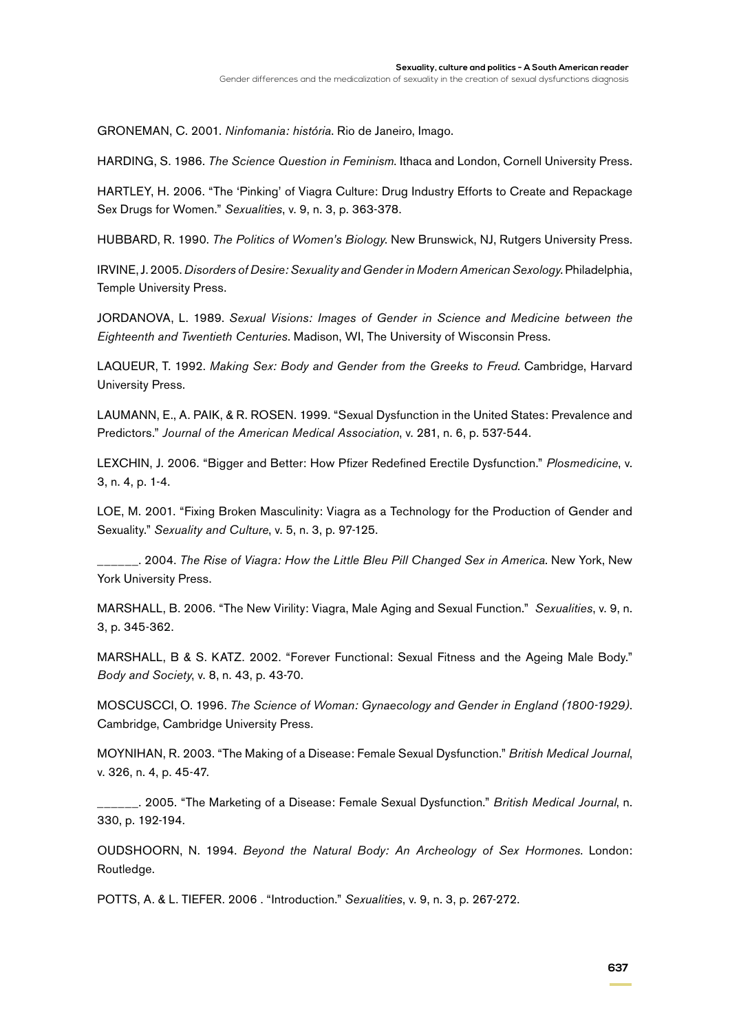GRONEMAN, C. 2001. *Ninfomania: história*. Rio de Janeiro, Imago.

HARDING, S. 1986. *The Science Question in Feminism*. Ithaca and London, Cornell University Press.

HARTLEY, H. 2006. "The 'Pinking' of Viagra Culture: Drug Industry Efforts to Create and Repackage Sex Drugs for Women." *Sexualities*, v. 9, n. 3, p. 363-378.

HUBBARD, R. 1990. *The Politics of Women's Biology*. New Brunswick, NJ, Rutgers University Press.

IRVINE, J. 2005. *Disorders of Desire: Sexuality and Gender in Modern American Sexology*. Philadelphia, Temple University Press.

JORDANOVA, L. 1989. *Sexual Visions: Images of Gender in Science and Medicine between the Eighteenth and Twentieth Centuries*. Madison, WI, The University of Wisconsin Press.

LAQUEUR, T. 1992. *Making Sex: Body and Gender from the Greeks to Freud*. Cambridge, Harvard University Press.

LAUMANN, E., A. PAIK, & R. ROSEN. 1999. "Sexual Dysfunction in the United States: Prevalence and Predictors." *Journal of the American Medical Association*, v. 281, n. 6, p. 537-544.

LEXCHIN, J. 2006. "Bigger and Better: How Pfizer Redefined Erectile Dysfunction." *Plosmedicine*, v. 3, n. 4, p. 1-4.

LOE, M. 2001. "Fixing Broken Masculinity: Viagra as a Technology for the Production of Gender and Sexuality." *Sexuality and Culture*, v. 5, n. 3, p. 97-125.

\_\_\_\_\_\_. 2004. *The Rise of Viagra: How the Little Bleu Pill Changed Sex in America*. New York, New York University Press.

MARSHALL, B. 2006. "The New Virility: Viagra, Male Aging and Sexual Function." *Sexualities*, v. 9, n. 3, p. 345-362.

MARSHALL, B & S. KATZ. 2002. "Forever Functional: Sexual Fitness and the Ageing Male Body." *Body and Society*, v. 8, n. 43, p. 43-70.

MOSCUSCCI, O. 1996. *The Science of Woman: Gynaecology and Gender in England (1800-1929)*. Cambridge, Cambridge University Press.

MOYNIHAN, R. 2003. "The Making of a Disease: Female Sexual Dysfunction." *British Medical Journal*, v. 326, n. 4, p. 45-47.

\_\_\_\_\_\_. 2005. "The Marketing of a Disease: Female Sexual Dysfunction." *British Medical Journal*, n. 330, p. 192-194.

OUDSHOORN, N. 1994. *Beyond the Natural Body: An Archeology of Sex Hormones*. London: Routledge.

POTTS, A. & L. TIEFER. 2006 . "Introduction." *Sexualities*, v. 9, n. 3, p. 267-272.